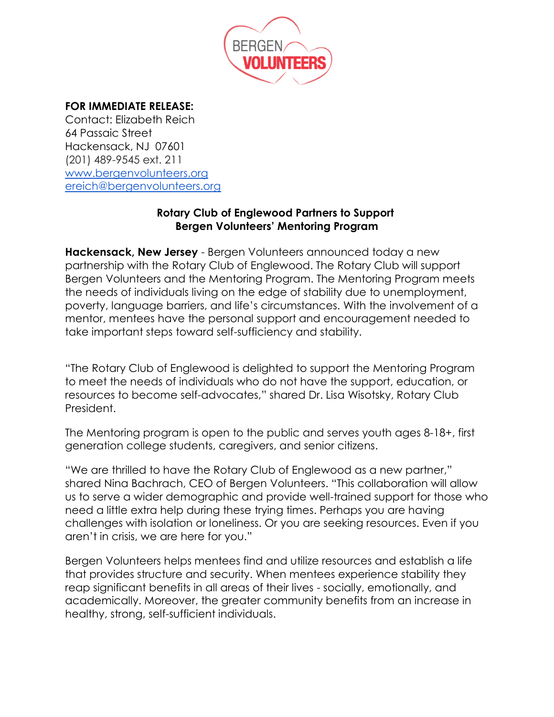

## **FOR IMMEDIATE RELEASE:**

Contact: Elizabeth Reich 64 Passaic Street Hackensack, NJ 07601 (201) 489-9545 ext. 211 [www.bergenvolunteers.org](http://www.bergenvolunteers.org/) [ereich@bergenvolunteers.org](mailto:ereich@bergenvolunteers.org)

## **Rotary Club of Englewood Partners to Support Bergen Volunteers' Mentoring Program**

**Hackensack, New Jersey** - Bergen Volunteers announced today a new partnership with the Rotary Club of Englewood. The Rotary Club will support Bergen Volunteers and the Mentoring Program. The Mentoring Program meets the needs of individuals living on the edge of stability due to unemployment, poverty, language barriers, and life's circumstances. With the involvement of a mentor, mentees have the personal support and encouragement needed to take important steps toward self-sufficiency and stability.

"The Rotary Club of Englewood is delighted to support the Mentoring Program to meet the needs of individuals who do not have the support, education, or resources to become self-advocates," shared Dr. Lisa Wisotsky, Rotary Club President.

The Mentoring program is open to the public and serves youth ages 8-18+, first generation college students, caregivers, and senior citizens.

"We are thrilled to have the Rotary Club of Englewood as a new partner," shared Nina Bachrach, CEO of Bergen Volunteers. "This collaboration will allow us to serve a wider demographic and provide well-trained support for those who need a little extra help during these trying times. Perhaps you are having challenges with isolation or loneliness. Or you are seeking resources. Even if you aren't in crisis, we are here for you."

Bergen Volunteers helps mentees find and utilize resources and establish a life that provides structure and security. When mentees experience stability they reap significant benefits in all areas of their lives - socially, emotionally, and academically. Moreover, the greater community benefits from an increase in healthy, strong, self-sufficient individuals.